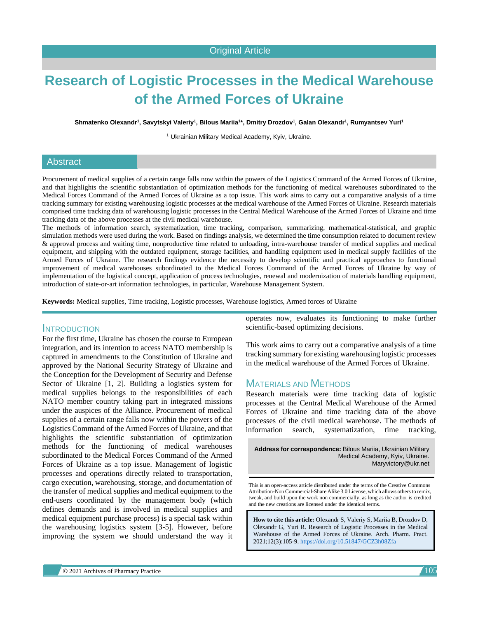# **Research of Logistic Processes in the Medical Warehouse of the Armed Forces of Ukraine**

**Shmatenko Olexandr<sup>1</sup> , Savytskyi Valeriy<sup>1</sup> , Bilous Mariia<sup>1</sup> \*, Dmitry Drozdov<sup>1</sup> , Galan Olexandr<sup>1</sup> , Rumyantsev Yuri<sup>1</sup>**

<sup>1</sup> Ukrainian Military Medical Academy, Kyiv, Ukraine.

### **Abstract**

Procurement of medical supplies of a certain range falls now within the powers of the Logistics Command of the Armed Forces of Ukraine, and that highlights the scientific substantiation of optimization methods for the functioning of medical warehouses subordinated to the Medical Forces Command of the Armed Forces of Ukraine as a top issue. This work aims to carry out a comparative analysis of a time tracking summary for existing warehousing logistic processes at the medical warehouse of the Armed Forces of Ukraine. Research materials comprised time tracking data of warehousing logistic processes in the Central Medical Warehouse of the Armed Forces of Ukraine and time tracking data of the above processes at the civil medical warehouse.

The methods of information search, systematization, time tracking, comparison, summarizing, mathematical-statistical, and graphic simulation methods were used during the work. Based on findings analysis, we determined the time consumption related to document review & approval process and waiting time, nonproductive time related to unloading, intra-warehouse transfer of medical supplies and medical equipment, and shipping with the outdated equipment, storage facilities, and handling equipment used in medical supply facilities of the Armed Forces of Ukraine. The research findings evidence the necessity to develop scientific and practical approaches to functional improvement of medical warehouses subordinated to the Medical Forces Command of the Armed Forces of Ukraine by way of implementation of the logistical concept, application of process technologies, renewal and modernization of materials handling equipment, introduction of state-or-art information technologies, in particular, Warehouse Management System.

**Keywords:** Medical supplies, Time tracking, Logistic processes, Warehouse logistics, Armed forces of Ukraine

#### **INTRODUCTION**

For the first time, Ukraine has chosen the course to European integration, and its intention to access NATO membership is captured in amendments to the Constitution of Ukraine and approved by the National Security Strategy of Ukraine and the Conception for the Development of Security and Defense Sector of Ukraine [1, 2]. Building a logistics system for medical supplies belongs to the responsibilities of each NATO member country taking part in integrated missions under the auspices of the Alliance. Procurement of medical supplies of a certain range falls now within the powers of the Logistics Command of the Armed Forces of Ukraine, and that highlights the scientific substantiation of optimization methods for the functioning of medical warehouses subordinated to the Medical Forces Command of the Armed Forces of Ukraine as a top issue. Management of logistic processes and operations directly related to transportation, cargo execution, warehousing, storage, and documentation of the transfer of medical supplies and medical equipment to the end-users coordinated by the management body (which defines demands and is involved in medical supplies and medical equipment purchase process) is a special task within the warehousing logistics system [3-5]. However, before improving the system we should understand the way it

operates now, evaluates its functioning to make further scientific-based optimizing decisions.

This work aims to carry out a comparative analysis of a time tracking summary for existing warehousing logistic processes in the medical warehouse of the Armed Forces of Ukraine.

## MATERIALS AND METHODS

Research materials were time tracking data of logistic processes at the Central Medical Warehouse of the Armed Forces of Ukraine and time tracking data of the above processes of the civil medical warehouse. The methods of information search, systematization, time tracking,

**Address for correspondence:** Bilous Mariia, Ukrainian Military Medical Academy, Kyiv, Ukraine. Maryvictory@ukr.net

This is an open-access article distributed under the terms of the Creative Commons Attribution-Non Commercial-Share Alike 3.0 License, which allows others to remix, tweak, and build upon the work non commercially, as long as the author is credited and the new creations are licensed under the identical terms.

**How to cite this article:** Olexandr S, Valeriy S, Mariia B, Drozdov D, Olexandr G, Yuri R. Research of Logistic Processes in the Medical Warehouse of the Armed Forces of Ukraine. Arch. Pharm. Pract. 2021;12(3):105-9. <https://doi.org/10.51847/GCZ3h08Zfa>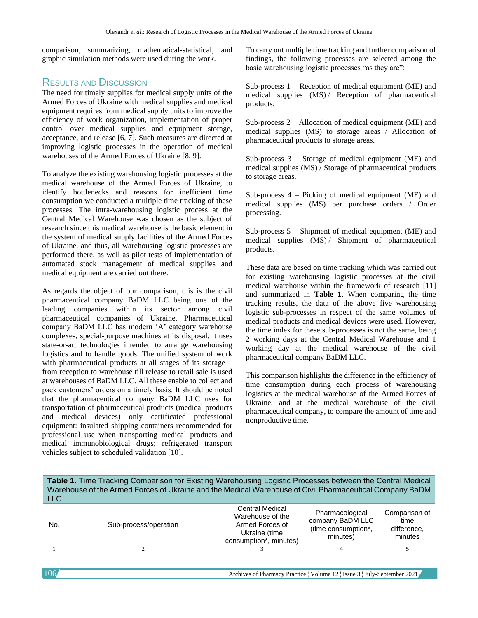comparison, summarizing, mathematical-statistical, and graphic simulation methods were used during the work.

# RESULTS AND DISCUSSION

The need for timely supplies for medical supply units of the Armed Forces of Ukraine with medical supplies and medical equipment requires from medical supply units to improve the efficiency of work organization, implementation of proper control over medical supplies and equipment storage, acceptance, and release [6, 7]. Such measures are directed at improving logistic processes in the operation of medical warehouses of the Armed Forces of Ukraine [8, 9].

To analyze the existing warehousing logistic processes at the medical warehouse of the Armed Forces of Ukraine, to identify bottlenecks and reasons for inefficient time consumption we conducted a multiple time tracking of these processes. The intra-warehousing logistic process at the Central Medical Warehouse was chosen as the subject of research since this medical warehouse is the basic element in the system of medical supply facilities of the Armed Forces of Ukraine, and thus, all warehousing logistic processes are performed there, as well as pilot tests of implementation of automated stock management of medical supplies and medical equipment are carried out there.

As regards the object of our comparison, this is the civil pharmaceutical company BaDM LLC being one of the leading companies within its sector among civil pharmaceutical companies of Ukraine. Pharmaceutical company BaDM LLC has modern 'A' category warehouse complexes, special-purpose machines at its disposal, it uses state-or-art technologies intended to arrange warehousing logistics and to handle goods. The unified system of work with pharmaceutical products at all stages of its storage – from reception to warehouse till release to retail sale is used at warehouses of BaDM LLC. All these enable to collect and pack customers' orders on a timely basis. It should be noted that the pharmaceutical company BaDM LLC uses for transportation of pharmaceutical products (medical products and medical devices) only certificated professional equipment: insulated shipping containers recommended for professional use when transporting medical products and medical immunobiological drugs; refrigerated transport vehicles subject to scheduled validation [10].

To carry out multiple time tracking and further comparison of findings, the following processes are selected among the basic warehousing logistic processes "as they are":

Sub-process 1 – Reception of medical equipment (ME) and medical supplies (MS) / Reception of pharmaceutical products.

Sub-process 2 – Allocation of medical equipment (ME) and medical supplies (MS) to storage areas / Allocation of pharmaceutical products to storage areas.

Sub-process 3 – Storage of medical equipment (ME) and medical supplies (MS) / Storage of pharmaceutical products to storage areas.

Sub-process 4 – Picking of medical equipment (ME) and medical supplies (MS) per purchase orders / Order processing.

Sub-process 5 – Shipment of medical equipment (ME) and medical supplies (MS) / Shipment of pharmaceutical products.

These data are based on time tracking which was carried out for existing warehousing logistic processes at the civil medical warehouse within the framework of research [11] and summarized in **Table 1**. When comparing the time tracking results, the data of the above five warehousing logistic sub-processes in respect of the same volumes of medical products and medical devices were used. However, the time index for these sub-processes is not the same, being 2 working days at the Central Medical Warehouse and 1 working day at the medical warehouse of the civil pharmaceutical company BaDM LLC.

This comparison highlights the difference in the efficiency of time consumption during each process of warehousing logistics at the medical warehouse of the Armed Forces of Ukraine, and at the medical warehouse of the civil pharmaceutical company, to compare the amount of time and nonproductive time.

**Table 1.** Time Tracking Comparison for Existing Warehousing Logistic Processes between the Central Medical Warehouse of the Armed Forces of Ukraine and the Medical Warehouse of Civil Pharmaceutical Company BaDM  $LI$ 

| No. | Sub-process/operation | <b>Central Medical</b><br>Warehouse of the<br>Armed Forces of<br>Ukraine (time<br>consumption*, minutes) | Pharmacological<br>company BaDM LLC<br>(time consumption*,<br>minutes) | Comparison of<br>time<br>difference,<br>minutes |
|-----|-----------------------|----------------------------------------------------------------------------------------------------------|------------------------------------------------------------------------|-------------------------------------------------|
|     |                       |                                                                                                          |                                                                        |                                                 |
| 106 |                       | Archives of Pharmacy Practice   Volume 12   Issue 3   July-September 2021                                |                                                                        |                                                 |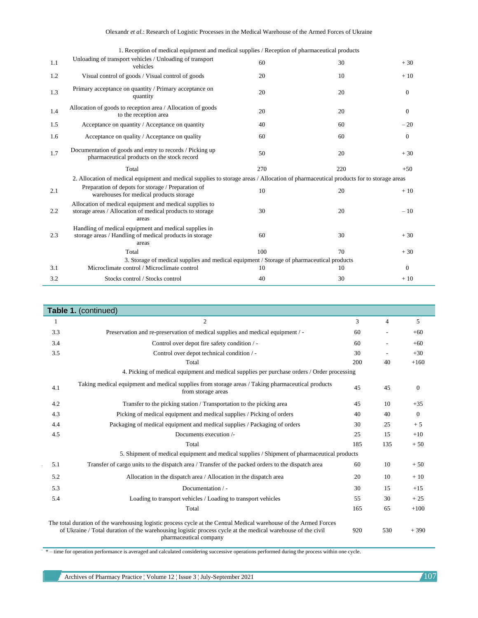1. Reception of medical equipment and medical supplies / Reception of pharmaceutical products 1.1 Unloading of transport vehicles / Unloading of transport vehicles  $\frac{30}{4} + 30$ 1.2 Visual control of goods / Visual control of goods 20 10 + 10 1.3 Primary acceptance on quantity / Primary acceptance on quantity  $\frac{1}{20}$  20 20 0<br>quantity 1.4 Allocation of goods to reception area / Allocation of goods to the reception area  $\lambda$  Allocation of goods  $20$  20  $20$  0 1.5 Acceptance on quantity / Acceptance on quantity 40 60 – 20 1.6 Acceptance on quality / Acceptance on quality 60 60 60 0 0 0 0  $\sigma$ 1.7 Documentation of goods and entry to records / Picking up pharmaceutical products on the stock record  $50$   $50$   $20$   $+30$  $Total$  270 220  $+50$ 2. Allocation of medical equipment and medical supplies to storage areas / Allocation of pharmaceutical products for to storage areas 2.1 Preparation of depots for storage / Preparation of  $\mu$ aration of depots for storage  $\mu$  + 10  $\mu$  arehouses for medical products storage  $\mu$  10  $\mu$  20  $\mu$  + 10 2.2 Allocation of medical equipment and medical supplies to storage areas / Allocation of medical products to storage areas  $30 \t 20 \t -10$ 2.3 Handling of medical equipment and medical supplies in storage areas / Handling of medical products in storage areas 60  $30 + 30$ Total  $100$   $70$   $+30$ 3. Storage of medical supplies and medical equipment / Storage of pharmaceutical products 3.1 Microclimate control / Microclimate control 10 10 10 0 0 3.2 Stocks control / Stocks control 40 40 30 + 10

| Table 1. (continued)                                                                                                                                                                                                                                       |                                                                                                                         |     |                |          |  |  |  |
|------------------------------------------------------------------------------------------------------------------------------------------------------------------------------------------------------------------------------------------------------------|-------------------------------------------------------------------------------------------------------------------------|-----|----------------|----------|--|--|--|
| 1                                                                                                                                                                                                                                                          | $\overline{2}$                                                                                                          | 3   | $\overline{4}$ | 5        |  |  |  |
| 3.3                                                                                                                                                                                                                                                        | Preservation and re-preservation of medical supplies and medical equipment / -                                          | 60  |                | $+60$    |  |  |  |
| 3.4                                                                                                                                                                                                                                                        | Control over depot fire safety condition / -                                                                            | 60  |                | $+60$    |  |  |  |
| 3.5                                                                                                                                                                                                                                                        | Control over depot technical condition / -                                                                              | 30  |                | $+30$    |  |  |  |
|                                                                                                                                                                                                                                                            | Total                                                                                                                   | 200 | 40             | $+160$   |  |  |  |
|                                                                                                                                                                                                                                                            | 4. Picking of medical equipment and medical supplies per purchase orders / Order processing                             |     |                |          |  |  |  |
| 4.1                                                                                                                                                                                                                                                        | Taking medical equipment and medical supplies from storage areas / Taking pharmaceutical products<br>from storage areas | 45  | 45             | $\theta$ |  |  |  |
| 4.2                                                                                                                                                                                                                                                        | Transfer to the picking station / Transportation to the picking area                                                    | 45  | 10             | $+35$    |  |  |  |
| 4.3                                                                                                                                                                                                                                                        | Picking of medical equipment and medical supplies / Picking of orders                                                   | 40  | 40             | $\theta$ |  |  |  |
| 4.4                                                                                                                                                                                                                                                        | Packaging of medical equipment and medical supplies / Packaging of orders                                               | 30  | 25             | $+5$     |  |  |  |
| 4.5                                                                                                                                                                                                                                                        | Documents execution /-                                                                                                  | 25  | 15             | $+10$    |  |  |  |
|                                                                                                                                                                                                                                                            | Total                                                                                                                   | 185 | 135            | $+50$    |  |  |  |
|                                                                                                                                                                                                                                                            | 5. Shipment of medical equipment and medical supplies / Shipment of pharmaceutical products                             |     |                |          |  |  |  |
| 5.1                                                                                                                                                                                                                                                        | Transfer of cargo units to the dispatch area / Transfer of the packed orders to the dispatch area                       | 60  | 10             | $+50$    |  |  |  |
| 5.2                                                                                                                                                                                                                                                        | Allocation in the dispatch area / Allocation in the dispatch area                                                       | 20  | 10             | $+10$    |  |  |  |
| 5.3                                                                                                                                                                                                                                                        | Documentation / -                                                                                                       | 30  | 15             | $+15$    |  |  |  |
| 5.4                                                                                                                                                                                                                                                        | Loading to transport vehicles / Loading to transport vehicles                                                           | 55  | 30             | $+25$    |  |  |  |
|                                                                                                                                                                                                                                                            | Total                                                                                                                   | 165 | 65             | $+100$   |  |  |  |
| The total duration of the warehousing logistic process cycle at the Central Medical warehouse of the Armed Forces<br>of Ukraine / Total duration of the warehousing logistic process cycle at the medical warehouse of the civil<br>pharmaceutical company |                                                                                                                         |     | 530            | $+390$   |  |  |  |

\* – time for operation performance is averaged and calculated considering successive operations performed during the process within one cycle.

Archives of Pharmacy Practice ¦ Volume 12 ¦ Issue 3 ¦ July-September 2021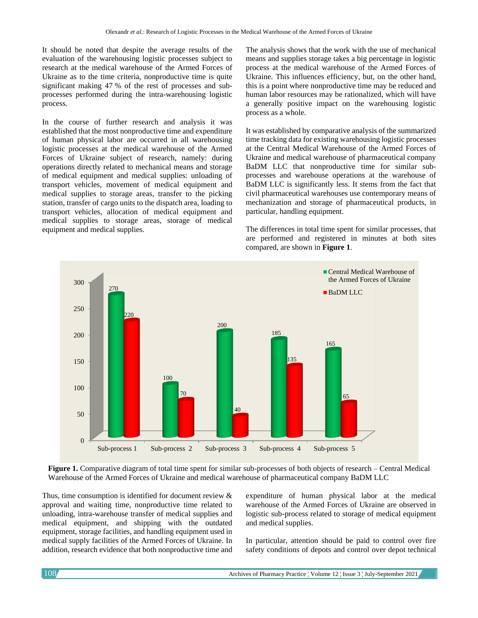It should be noted that despite the average results of the evaluation of the warehousing logistic processes subject to research at the medical warehouse of the Armed Forces of Ukraine as to the time criteria, nonproductive time is quite significant making 47 % of the rest of processes and subprocesses performed during the intra-warehousing logistic process.

In the course of further research and analysis it was established that the most nonproductive time and expenditure of human physical labor are occurred in all warehousing logistic processes at the medical warehouse of the Armed Forces of Ukraine subject of research, namely: during operations directly related to mechanical means and storage of medical equipment and medical supplies: unloading of transport vehicles, movement of medical equipment and medical supplies to storage areas, transfer to the picking station, transfer of cargo units to the dispatch area, loading to transport vehicles, allocation of medical equipment and medical supplies to storage areas, storage of medical equipment and medical supplies.

The analysis shows that the work with the use of mechanical means and supplies storage takes a big percentage in logistic process at the medical warehouse of the Armed Forces of Ukraine. This influences efficiency, but, on the other hand, this is a point where nonproductive time may be reduced and human labor resources may be rationalized, which will have a generally positive impact on the warehousing logistic process as a whole.

It was established by comparative analysis of the summarized time tracking data for existing warehousing logistic processes at the Central Medical Warehouse of the Armed Forces of Ukraine and medical warehouse of pharmaceutical company BaDM LLC that nonproductive time for similar subprocesses and warehouse operations at the warehouse of BaDM LLC is significantly less. It stems from the fact that civil pharmaceutical warehouses use contemporary means of mechanization and storage of pharmaceutical products, in particular, handling equipment.

The differences in total time spent for similar processes, that are performed and registered in minutes at both sites compared, are shown in **Figure 1**.



**Figure 1.** Comparative diagram of total time spent for similar sub-processes of both objects of research – Central Medical Warehouse of the Armed Forces of Ukraine and medical warehouse of pharmaceutical company BaDM LLC

Thus, time consumption is identified for document review & approval and waiting time, nonproductive time related to unloading, intra-warehouse transfer of medical supplies and medical equipment, and shipping with the outdated equipment, storage facilities, and handling equipment used in medical supply facilities of the Armed Forces of Ukraine. In addition, research evidence that both nonproductive time and expenditure of human physical labor at the medical warehouse of the Armed Forces of Ukraine are observed in logistic sub-process related to storage of medical equipment and medical supplies.

In particular, attention should be paid to control over fire safety conditions of depots and control over depot technical